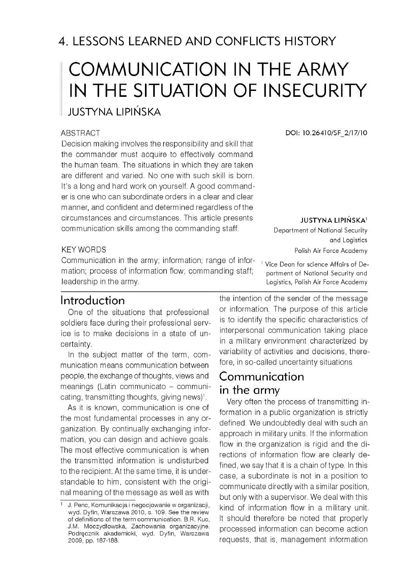# COMMUNICATION IN THE ARMY IN THE SITUATION OF INSECURITY

JUSTYNA LIPIŃSKA

#### ABSTRACT

Decision making involves the responsibility and skill that the commander must acquire to effectively command the human team. The situations in which they are taken are different and varied. No one with such skill is born. It's a long and hard work on yourself. A good commander is one who can subordinate orders in a clear and clear manner, and confident and determined regardless of the circum stances and circumstances. This article presents communication skills among the commanding staff.

#### KEY WORDS

Communication in the army; information; range of information; process of information flow; commanding staff; leadership in the army.

## Introduction

One of the situations that professional soldiers face during their professional service is to make decisions in a state of uncertainty.

In the subject matter of the term, com munication means communication between people, the exchange of thoughts, views and meanings (Latin communicato - communicating, transmitting thoughts, giving news)<sup>1</sup>.

As it is known, communication is one of the most fundam ental processes in any organization. By continually exchanging information, you can design and achieve goals. The most effective communication is when the transm itted information is undisturbed to the recipient. At the same time, it is understandable to him, consistent with the original meaning of the message as well as with

**DOI: 10.26410/SF 2/17/10**

**JUSTYNA LIPIŃSKA1**

Department of National Security and Logistics Polish Air Force Academy

<sup>1</sup> Vice Dean for science Affairs of Department of National Security and Logistics, Polish Air Force Academy

the intention of the sender of the message or information. The purpose of this article is to identify the specific characteristics of interpersonal communication taking place in a military environment characterized by variability of activities and decisions, therefore, in so-called uncertainty situations

# Communication in the army

Very often the process of transmitting information in a public organization is strictly defined. We undoubtedly deal with such an approach in military units. If the information flow in the organization is rigid and the directions of information flow are clearly defined, we say that it is a chain of type. In this case, a subordinate is not in a position to communicate directly with a similar position, but only with a supervisor. We deal with this kind of information flow in a military unit. It should therefore be noted that properly processed information can become action requests, that is, management information

<sup>1</sup> J. Penc, Komunikacja i negocjowanie w organizacji, wyd. Dyfin, Warszawa 2010, s. 109. See the review of definitions of the term communication. B.R. Kuc, J.M. Moczydłowska, Zachowania organizacyjne. Podręcznik akademicki, wyd. Dyfin, Warszawa 2009, pp. 187-188.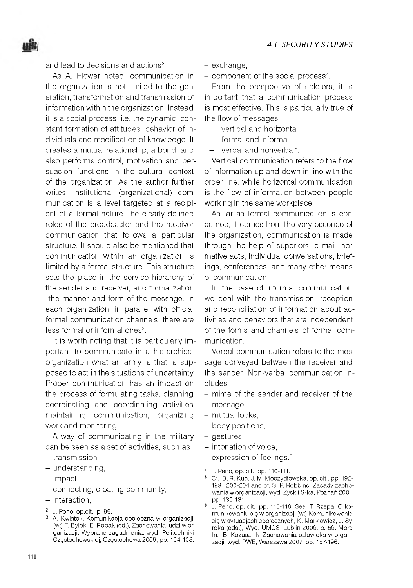and lead to decisions and actions<sup>2</sup>

嘁

As A. Flower noted, communication in the organization is not limited to the generation, transformation and transmission of information within the organization. Instead, it is a social process, i.e. the dynamic, constant formation of attitudes, behavior of individuals and modification of knowledge. It creates a mutual relationship, a bond, and also performs control, motivation and persuasion functions in the cultural context of the organization. As the author further writes, institutional (organizational) com munication is a level targeted at a recipient of a formal nature, the clearly defined roles of the broadcaster and the receiver, communication that follows a particular structure. It should also be mentioned that communication within an organization is limited by a formal structure. This structure sets the place in the service hierarchy of the sender and receiver, and formalization - the manner and form of the message. In each organization, in parallel with official formal communication channels, there are less formal or informal ones<sup>3</sup>.

It is worth noting that it is particularly important to communicate in a hierarchical organization what an army is that is supposed to act in the situations of uncertainty. Proper communication has an impact on the process of formulating tasks, planning, coordinating and coordinating activities, maintaining communication, organizing work and monitoring.

A way of communicating in the military can be seen as a set of activities, such as:

- transmission,
- understanding,
- impact,
- connecting, creating community,
- interaction,
- 2 J. Penc, op.cit., p. 96.
- exchange.
- component of the social process<sup>4</sup>.

From the perspective of soldiers, it is important that a communication process is most effective. This is particularly true of the flow of messages:

- vertical and horizontal.
- $-$  formal and informal
- $-$  verbal and nonverbal<sup>5</sup>.

Vertical communication refers to the flow of information up and down in line with the order line, while horizontal communication is the flow of information between people working in the same workplace.

As far as formal communication is concerned, it comes from the very essence of the organization, communication is made through the help of superiors, e-mail, normative acts, individual conversations, briefings, conferences, and many other means of communication

In the case of informal communication, we deal with the transmission, reception and reconciliation of information about activities and behaviors that are independent of the forms and channels of formal com munication.

Verbal communication refers to the message conveyed between the receiver and the sender. Non-verbal communication includes:

- mime of the sender and receiver of the message,
- mutual looks,
- body positions,
- gestures,
- intonation of voice,
- $-$  expression of feelings.<sup>6</sup>

<sup>3</sup> A. Kwiatek, Komunikacja społeczna w organizacji [w:] F. Bylok, E. Robak (ed.), Zachowania ludzi w organizacji. Wybrane zagadnienia, wyd. Politechniki Częstochowskiej, Częstochowa 2009, pp. 104-108.

<sup>4</sup> J. Penc, op. cit., pp. 110-111.

<sup>&</sup>lt;sup>5</sup> Cf.: B. R. Kuc, J. M. Moczydłowska, op. cit., pp. 192-193 i 200-204 and cf. S. P. Robbins, Zasady zachowania w organizacji, wyd. Zysk i S-ka, Poznań 2001, pp. 130-131.

<sup>6</sup> J. Penc, op. cit., pp. 115-116. See: T. Rzepa, O komunikowaniu się w organizacji [w:] Komunikowanie się w sytuacjach społecznych, K. Markiewicz, J. Syroka (eds.), Wyd. UMCS, Lublin 2009, p. 59. More In: B. Kożusznik, Zachowania człowieka w organizacji, wyd. PWE, Warszawa 2007, pp. 157-196.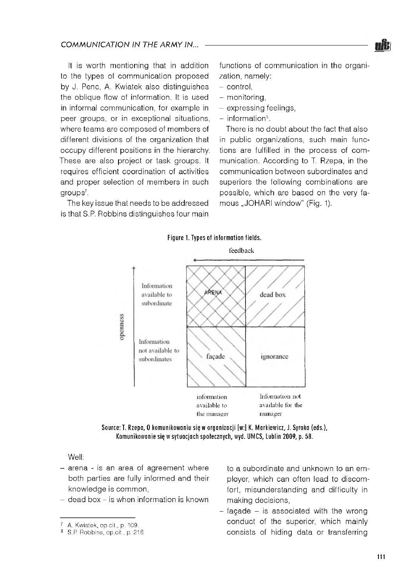It is worth mentioning that in addition to the types of communication proposed by J. Penc, A. Kwiatek also distinguishes the oblique flow of information. It is used in informal communication, for example in peer groups, or in exceptional situations, where teams are composed of members of different divisions of the organization that occupy different positions in the hierarchy. These are also project or task groups. It requires efficient coordination of activities and proper selection of members in such groups<sup>7</sup>.

The key issue that needs to be addressed is that S.P. Robbins distinguishes four main functions of communication in the organization, namely:

- control.
- monitoring.
- expressing feelings,
- $-$  information<sup> $6$ </sup>.

There is no doubt about the fact that also in public organizations, such main functions are fulfilled in the process of com munication. According to T. Rzepa, in the communication between subordinates and superiors the following combinations are possible, which are based on the very famous "JOHARI window" (Fig. 1).





Source: T. Rzepa, O komunikowaniu się w organizacji [w:] K. Markiewicz, J. Syroka (eds.), Komunikowanie się w sytuacjach społecznych, wyd. UMCS, Lublin 2009, p. 58.

Well:

- $-$  arena is an area of agreement where both parties are fully informed and their knowledge is common,
- $-$  dead box  $-$  is when information is known

to a subordinate and unknown to an employer, which can often lead to discom fort, misunderstanding and difficulty in making decisions,

 $-$  façade  $-$  is associated with the wrong conduct of the superior, which mainly consists of hiding data or transferring

<sup>7</sup> A. Kwiatek, op.cit., p. 109.

<sup>8</sup> S.P. Robbins, op.cit., p. 216.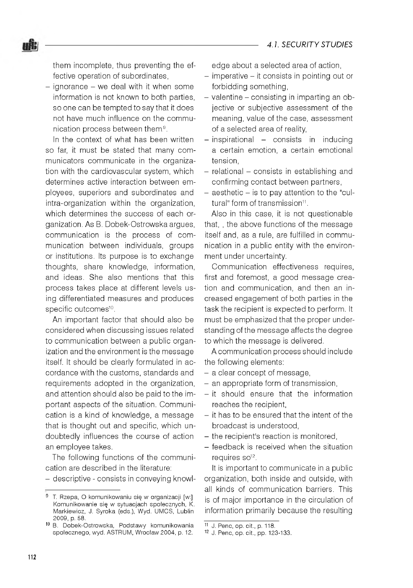them incomplete, thus preventing the effective operation of subordinates,

uit:

- ignorance - we deal with it when some information is not known to both parties, so one can be tempted to say that it does not have much influence on the communication process between them.<sup>9</sup>.

In the context of what has been written so far, it must be stated that many com municators communicate in the organization with the cardiovascular system, which determines active interaction between em ployees, superiors and subordinates and intra-organization within the organization, which determines the success of each organization. As B. Dobek-Ostrowska argues, communication is the process of communication between individuals, groups or institutions. Its purpose is to exchange thoughts, share knowledge, information, and ideas. She also mentions that this process takes place at different levels using differentiated measures and produces specific outcomes<sup>10</sup>.

An important factor that should also be considered when discussing issues related to communication between a public organization and the environment is the message itself. It should be clearly formulated in accordance with the customs, standards and requirements adopted in the organization, and attention should also be paid to the important aspects of the situation. Communication is a kind of knowledge, a message that is thought out and specific, which undoubtedly influences the course of action an employee takes.

The following functions of the communication are described in the literature:

- descriptive - consists in conveying knowl-

edge about a selected area of action,

- imperative it consists in pointing out or forbidding something,
- $-$  valentine  $-$  consisting in imparting an objective or subjective assessment of the meaning, value of the case, assessment of a selected area of reality,
- $-$  inspirational  $-$  consists in inducing a certain emotion, a certain em otional tension,
- relational consists in establishing and confirming contact between partners,
- $-$  aesthetic  $-$  is to pay attention to the "cultural" form of transmission<sup>11</sup>.

Also in this case, it is not questionable that, , the above functions of the message itself and, as a rule, are fulfilled in communication in a public entity with the environment under uncertainty.

Communication effectiveness requires, first and foremost, a good message creation and communication, and then an increased engagement of both parties in the task the recipient is expected to perform. It must be emphasized that the proper understanding of the message affects the degree to which the message is delivered.

A communication process should include the following elements:

- a clear concept of message,
- an appropriate form of transmission,
- it should ensure that the information reaches the recipient,
- it has to be ensured that the intent of the broadcast is understood,
- the recipient's reaction is monitored,
- feedback is received when the situation requires so<sup>12</sup>.

It is important to communicate in a public organization, both inside and outside, with all kinds of communication barriers. This is of major importance in the circulation of information primarily because the resulting

<sup>9</sup> T. Rzepa, O komunikowaniu się w organizacji [w:] Komunikowanie się w sytuacjach społecznych, K. Markiewicz, J. Syroka (eds.), Wyd. UMCS, Lublin 2009, p. 58.

<sup>&</sup>lt;sup>10</sup> B. Dobek-Ostrowska, Podstawy komunikowania społecznego, wyd. ASTRUM, Wrocław 2004, p. 12.

<sup>11</sup> J. Penc, op. cit., p. 118.

<sup>12</sup> J. Penc, op. cit., pp. 123-133.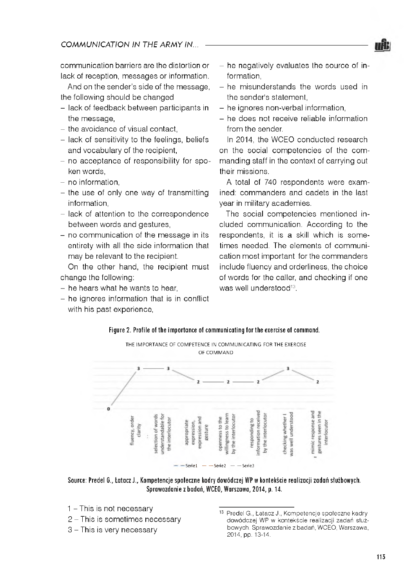communication barriers are the distortion or lack of reception, messages or information.

And on the sender's side of the message, the following should be changed

- lack of feedback between participants in the message,
- the avoidance of visual contact.
- lack of sensitivity to the feelings, beliefs and vocabulary of the recipient,
- no acceptance of responsibility for spoken words,
- no information.
- $-$  the use of only one way of transmitting information,
- lack of attention to the correspondence between words and gestures,
- $-$  no communication of the message in its entirety with all the side information that may be relevant to the recipient.

On the other hand, the recipient must change the following:

- he hears what he wants to hear,
- $-$  he ignores information that is in conflict with his past experience,
- he negatively evaluates the source of information,
- he misunderstands the words used in the sender's statement,
- he ignores non-verbal information.
- he does not receive reliable information from the sender.

In 2014, the WCEO conducted research on the social competencies of the commanding staff in the context of carrying out their missions.

A total of 740 respondents were exam ined: commanders and cadets in the last vear in military academies.

The social competencies mentioned included communication. According to the respondents, it is a skill which is sometimes needed. The elements of communication most important for the commanders include fluency and orderliness, the choice of words for the caller, and checking if one was well understood<sup>13</sup>.



THE IMPORTANCE OF COMPETENCE IN COMMUNICATING FOR THE EXERCISE OF COMMAND



Source: Predel G., Łatacz J., Kompetencje społeczne kadry dowódczej WP w kontekście realizacji zadań służbowych. Sprawozdanie z badań, WCEO, Warszawa, 2014, p. 14.

- 1 This is not necessary
- $2$  This is sometimes necessary
- 3 This is very necessary

<sup>13</sup> Predel G., Łatacz J., Kompetencje społeczne kadry dowódczej WP w kontekście realizacji zadań służbowych. Sprawozdanie z badań, WCEO, Warszawa, 2014, pp. 13-14.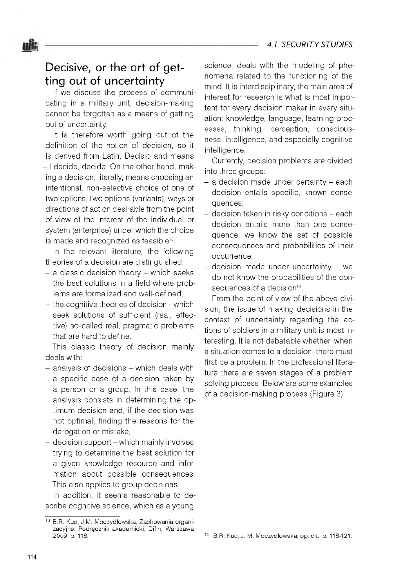# Decisive, or the art of getting out of uncertainty

uit:

If we discuss the process of communicating in a military unit, decision-making cannot be forgotten as a means of getting out of uncertainty.

It is therefore worth going out of the definition of the notion of decision, so it is derived from Latin. Decisio and means - I decide, decide. On the other hand, making a decision, literally, means choosing an intentional, non-selective choice of one of two options, two options (variants), ways or directions of action desirable from the point of view of the interest of the individual or system (enterprise) under which the choice is made and recognized as feasible<sup>13</sup>.

In the relevant literature, the following theories of a decision are distinguished:

- $-$  a classic decision theory  $-$  which seeks the best solutions in a field where problems are formalized and well-defined.
- the cognitive theories of decision which seek solutions of sufficient (real, effective) so-called real, pragmatic problems that are hard to define.

This classic theory of decision mainly deals with:

- $-$  analysis of decisions  $-$  which deals with a specific case of a decision taken by a person or a group. In this case, the analysis consists in determining the optimum decision and, if the decision was not optimal, finding the reasons for the derogation or mistake,
- decision support which mainly involves trying to determine the best solution for a given knowledge resource and information about possible consequences. This also applies to group decisions.

In addition, it seems reasonable to describe cognitive science, which as a young

science, deals with the modeling of phenomena related to the functioning of the mind. It is interdisciplinary, the main area of interest for research is what is most important for every decision maker in every situation: knowledge, language, learning processes, thinking, perception, consciousness, intelligence, and especially cognitive intelligence.

Currently, decision problems are divided into three groups:

- $-$  a decision made under certainty  $-$  each decision entails specific, known consequences;
- decision taken in risky conditions each decision entails more than one consequence, we know the set of possible consequences and probabilities of their occurrence;
- decision made under uncertainty we do not know the probabilities of the consequences of a decision<sup>14</sup>.

From the point of view of the above division, the issue of making decisions in the context of uncertainty regarding the actions of soldiers in a military unit is most interesting. It is not debatable whether, when a situation comes to a decision, there must first be a problem. In the professional literature there are seven stages of a problem solving process. Below are some examples of a decision-making process (Figure 3).

<sup>13</sup> B.R. Kuc, J.M. Moczydłowska, Zachowania organizacyjne. Podręcznik akademicki, Difin, Warszawa 2009, p. 118.

<sup>14</sup> B.R. Kuc, J. M. Moczydłowska, op. cit., p. 118-121.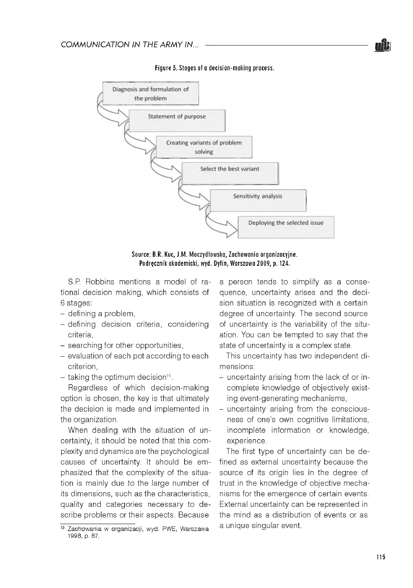

**Figure 3. Stages of a decision-m aking process.**

Source: B.R. Kuc, J.M. Moczydłowska, Zachowania organizacyjne. Podręcznik akademicki, wyd. Dyfin, Warszawa 2009, p. 124.

S.P. Robbins mentions a model of rational decision making, which consists of 6 stages:

- defining a problem,
- defining decision criteria, considering criteria,
- searching for other opportunities,
- evaluation of each pot according to each criterion,
- $-$  taking the optimum decision<sup>15</sup>.

Regardless of which decision-making option is chosen, the key is that ultimately the decision is made and implemented in the organization.

When dealing with the situation of uncertainty, it should be noted that this com plexity and dynamics are the psychological causes of uncertainty. It should be em phasized that the complexity of the situation is mainly due to the large number of its dimensions, such as the characteristics, quality and categories necessary to describe problems or their aspects. Because

a person tends to simplify as a consequence, uncertainty arises and the decision situation is recognized with a certain degree of uncertainty. The second source of uncertainty is the variability of the situation. You can be tempted to say that the state of uncertainty is a complex state.

This uncertainty has two independent dimensions:

- uncertainty arising from the lack of or incomplete knowledge of objectively existing event-generating mechanisms,
- uncertainty arising from the consciousness of one's own cognitive limitations, incomplete information or knowledge, experience.

The first type of uncertainty can be defined as external uncertainty because the source of its origin lies in the degree of trust in the knowledge of objective mechanisms for the emergence of certain events. External uncertainty can be represented in the mind as a distribution of events or as a unique singular event.

<sup>15</sup> Zachowania w organizacji, wyd. PWE, Warszawa 1998, p. 87.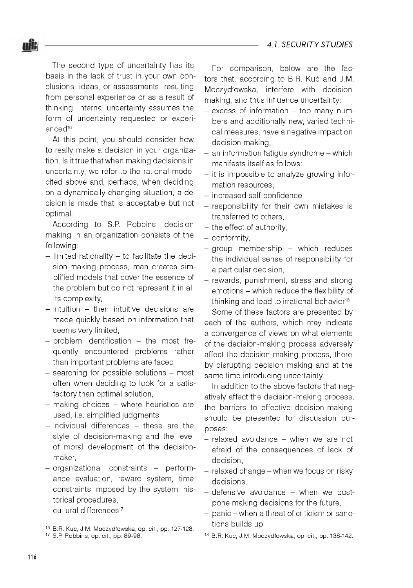

The second type of uncertainty has its basis in the lack of trust in your own conclusions, ideas, or assessments, resulting from personal experience or as a result of thinking. Internal uncertainty assumes the form of uncertainty requested or experienced<sup>16</sup>.

At this point, you should consider how to really make a decision in your organization. Is it true that when making decisions in uncertainty, we refer to the rational model cited above and, perhaps, when deciding on a dynamically changing situation, a decision is made that is acceptable but not optimal.

According to S.P. Robbins, decision m aking in an organization consists of the following:

- $-$  limited rationality  $-$  to facilitate the decision-making process, man creates simplified models that cover the essence of the problem but do not represent it in all its complexity,
- $-$  intuition  $-$  then intuitive decisions are made quickly based on information that seems very limited,
- $-$  problem identification  $-$  the most frequently encountered problems rather than important problems are faced
- $-$  searching for possible solutions  $-$  most often when deciding to look for a satisfactory than optimal solution,
- making choices where heuristics are used, i.e. simplified judgments,
- individual differences these are the style of decision-making and the level of moral development of the decisionmaker,
- organizational constraints performance evaluation, reward system, time constraints imposed by the system, historical procedures,
- cultural differences<sup>17</sup>.

For comparison, below are the factors that, according to B.R. Kuć and J.M. Moczydłowska, interfere with decisionmaking, and thus influence uncertainty:

- $-$  excess of information  $-$  too many numbers and additionally new, varied technical measures, have a negative impact on decision making,
- $-$  an information fatique syndrome  $-$  which manifests itself as follows:
- it is impossible to analyze growing information resources,
- increased self-confidence,
- responsibility for their own mistakes is transferred to others,
- the effect of authority.
- conformity.
- $-$  group membership  $-$  which reduces the individual sense of responsibility for a particular decision,
- rewards, punishment, stress and strong emotions - which reduce the flexibility of thinking and lead to irrational behavior<sup>18</sup>.

Some of these factors are presented by each of the authors, which may indicate a convergence of views on what elements of the decision-making process adversely affect the decision-making process, thereby disrupting decision making and at the same time introducing uncertainty.

In addition to the above factors that negatively affect the decision-making process, the barriers to effective decision-making should be presented for discussion purposes:

- relaxed avoidance when we are not afraid of the consequences of lack of decision,
- $-$  relaxed change  $-$  when we focus on risky decisions,
- $-$  defensive avoidance  $-$  when we postpone making decisions for the future,
- panic when a threat of criticism or sanctions builds up,

<sup>16</sup> B.R. Kuc, J.M. Moczydłowska, op. cit., pp. 127-128. 17 S.P. Robbins, op. cit., pp. 89-98.

<sup>18</sup> B.R. Kuc, J.M. Moczydłowska, op. cit., pp. 138-142.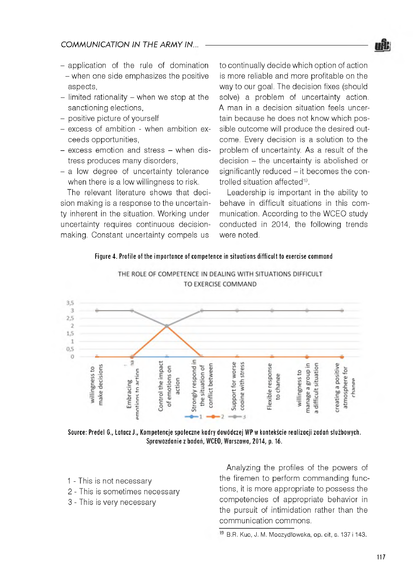

- $-$  application of the rule of domination - when one side emphasizes the positive aspects,
- $-$  limited rationality  $-$  when we stop at the sanctioning elections,
- positive picture of yourself
- excess of ambition when ambition exceeds opportunities,
- excess emotion and stress when distress produces many disorders,
- a low degree of uncertainty tolerance when there is a low willingness to risk.

The relevant literature shows that decision making is a response to the uncertainty inherent in the situation. Working under uncertainty requires continuous decisionmaking. Constant uncertainty compels us

to continually decide which option of action is more reliable and more profitable on the way to our goal. The decision fixes (should solve) a problem of uncertainty action. A man in a decision situation feels uncertain because he does not know which possible outcome will produce the desired outcome. Every decision is a solution to the problem of uncertainty. As a result of the decision - the uncertainty is abolished or significantly reduced  $-$  it becomes the controlled situation affected<sup>19</sup>.

Leadership is important in the ability to behave in difficult situations in this com munication. According to the WCEO study conducted in 2014, the following trends were noted.

#### Figure 4. Profile of the importance of competence in situations difficult to exercise command



THE ROLE OF COMPETENCE IN DEALING WITH SITUATIONS DIFFICULT TO EXERCISE COMMAND

Source: Predel G., Łatacz J., Kompetencje społeczne kadry dowódczej WP w kontekście realizacji zadań służbowych. Sprawozdanie z badań, WCEO, Warszawa, 2014, p. 16.

- 1 This is not necessary
- 2 This is sometimes necessary
- 3 This is very necessary

Analyzing the profiles of the powers of the firemen to perform commanding functions, it is more appropriate to possess the com petencies of appropriate behavior in the pursuit of intimidation rather than the communication commons.

<sup>&</sup>lt;sup>19</sup> B.R. Kuc, J. M. Moczydłowska, op. cit, s. 137 i 143.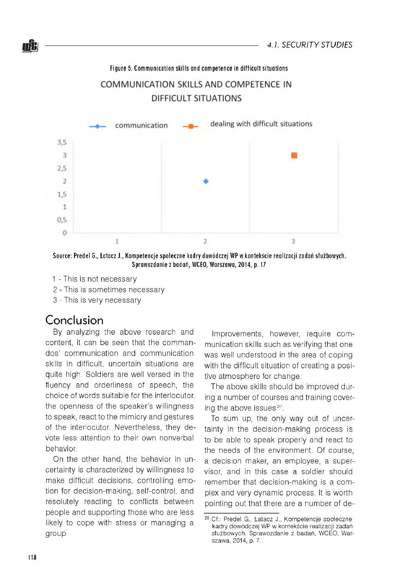Figure 5. Communication skills and competence in difficult situations

### COMMUNICATION SKILLS AND COMPETENCE IN **DIFFICULT SITUATIONS**



Source: Predel G., Łatacz J., Kompetencje społeczne kadry dowódczej WP w kontekście realizacji zadań służbowych. Sprawozdanie z badań, WCEO, Warszawa, 2014, p. 17

- 1 This is not necessary
- 2 This is sometimes necessary
- 3 This is very necessary

### Conclusion

By analyzing the above research and content, it can be seen that the commandos' communication and communication skills in difficult, uncertain situations are quite high. Soldiers are well versed in the fluency and orderliness of speech, the choice of words suitable for the interlocutor, the openness of the speaker's willingness to speak, react to the mimicry and gestures of the interlocutor. Nevertheless, they devote less attention to their own nonverbal behavior.

On the other hand, the behavior in uncertainty is characterized by willingness to make difficult decisions, controlling emotion for decision-m aking, self-control, and resolutely reacting to conflicts between people and supporting those who are less likely to cope with stress or managing a group.

Improvements, however, require com munication skills such as verifying that one was well understood in the area of coping with the difficult situation of creating a positive atmosphere for change.

The above skills should be improved during a number of courses and training covering the above issues<sup>20</sup>.

To sum up, the only way out of uncertainty in the decision-making process is to be able to speak properly and react to the needs of the environment. Of course, a decision maker, an employee, a supervisor, and in this case a soldier should remember that decision-making is a complex and very dynamic process. It is worth pointing out that there are a number of de-

<sup>&</sup>lt;sup>20</sup> Cf.: Predel G., Łatacz J., Kompetencje społeczne kadry dowódczej WP w kontekście realizacji zadań służbowych. Sprawozdanie z badań, WCEO, Warszawa, 2014, p. 7.